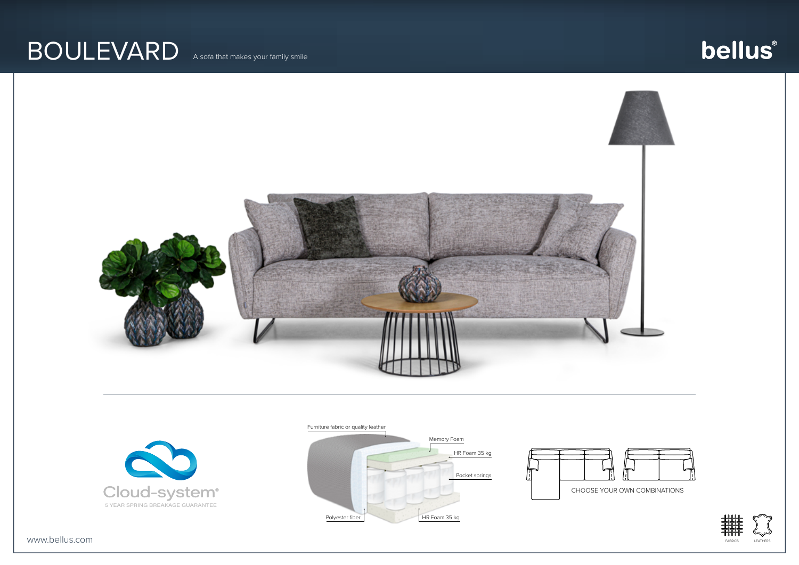## BOULEVARD A sofa that makes your family smile

# bellus®





#### Furniture fabric or quality leather







www.bellus.com FABRICS LEATHERS